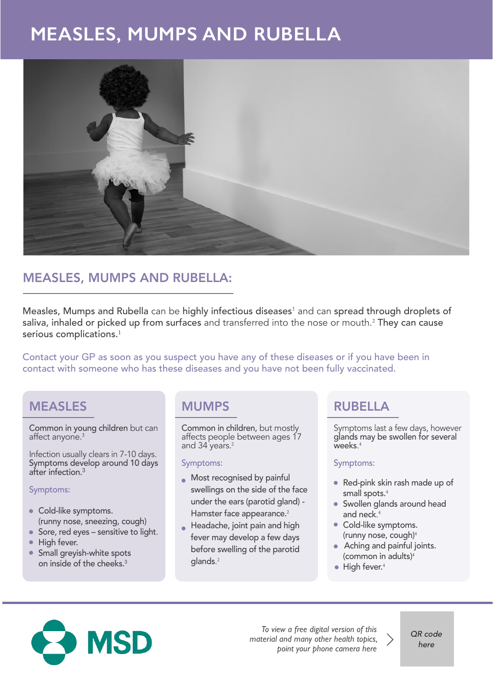# **MEASLES, MUMPS AND RUBELLA**



### MEASLES, MUMPS AND RUBELLA:

Measles, Mumps and Rubella can be highly infectious diseases $^1$  and can spread through droplets of saliva, inhaled or picked up from surfaces and transferred into the nose or mouth.<sup>2</sup> They can cause serious complications.<sup>1</sup>

Contact your GP as soon as you suspect you have any of these diseases or if you have been in contact with someone who has these diseases and you have not been fully vaccinated.

### MEASLES

Common in young children but can affect anyone.<sup>3</sup>

Infection usually clears in 7-10 days. Symptoms develop around 10 days after infection.<sup>3</sup>

#### Symptoms:

- Cold-like symptoms. (runny nose, sneezing, cough)
- Sore, red eyes sensitive to light.
- High fever.
- **Small greyish-white spots** on inside of the cheeks.<sup>3</sup>

#### MUMPS

Common in children, but mostly affects people between ages 17 and 34 years.<sup>2</sup>

#### Symptoms:

- **Most recognised by painful** swellings on the side of the face under the ears (parotid gland) - Hamster face appearance.<sup>2</sup>
- Headache, joint pain and high fever may develop a few days before swelling of the parotid glands. 2

### RUBELLA

Symptoms last a few days, however glands may be swollen for several weeks. 4

#### Symptoms:

- Red-pink skin rash made up of small spots.<sup>4</sup>
- Swollen glands around head and neck. 4
- Cold-like symptoms. (runny nose, cough)<sup>4</sup>
- Aching and painful joints. (common in adults) $4$
- High fever. 4



*To view a free digital version of this material and many other health topics, point your phone camera here*